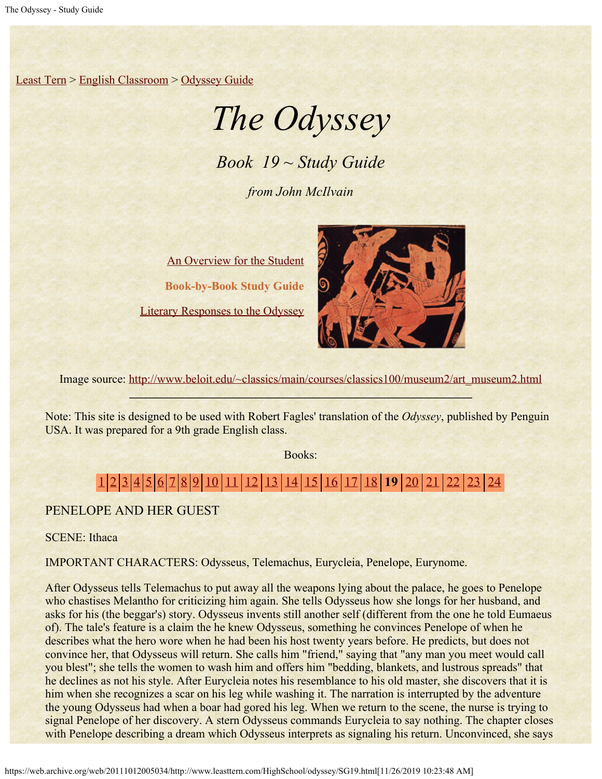[Least Tern](https://web.archive.org/web/20111012005034/http://www.leasttern.com/index.html) > [English Classroom](https://web.archive.org/web/20111012005034/http://www.leasttern.com/Engclass.html) > [Odyssey Guide](https://web.archive.org/web/20111012005034/http://www.leasttern.com/HighSchool/odyssey/Odyssey.html)

# *The Odyssey*

*Book 19 ~ Study Guide*

*from John McIlvain*

[An Overview for the Student](https://web.archive.org/web/20111012005034/http://www.leasttern.com/HighSchool/odyssey/Odyssey1.html) **Book-by-Book Study Guide** [Literary Responses to the Odyssey](https://web.archive.org/web/20111012005034/http://www.leasttern.com/HighSchool/odyssey/Odysseyresponses.html)



Image source: [http://www.beloit.edu/~classics/main/courses/classics100/museum2/art\\_museum2.html](https://web.archive.org/web/20111012005034/http://www.beloit.edu/%7Eclassics/main/courses/classics100/museum2/art_museum2.html)

Note: This site is designed to be used with Robert Fagles' translation of the *Odyssey*, published by Penguin USA. It was prepared for a 9th grade English class.

Books:

# [1](https://web.archive.org/web/20111012005034/http://www.leasttern.com/HighSchool/odyssey/SG1.html) [2](https://web.archive.org/web/20111012005034/http://www.leasttern.com/HighSchool/odyssey/SG2.html) [3](https://web.archive.org/web/20111012005034/http://www.leasttern.com/HighSchool/odyssey/SG3.html) [4](https://web.archive.org/web/20111012005034/http://www.leasttern.com/HighSchool/odyssey/SG4.html) [5](https://web.archive.org/web/20111012005034/http://www.leasttern.com/HighSchool/odyssey/SG5.html) [6](https://web.archive.org/web/20111012005034/http://www.leasttern.com/HighSchool/odyssey/SG6.html) [7](https://web.archive.org/web/20111012005034/http://www.leasttern.com/HighSchool/odyssey/SG7.html) [8](https://web.archive.org/web/20111012005034/http://www.leasttern.com/HighSchool/odyssey/SG8.html) [9](https://web.archive.org/web/20111012005034/http://www.leasttern.com/HighSchool/odyssey/SG9.html) [10](https://web.archive.org/web/20111012005034/http://www.leasttern.com/HighSchool/odyssey/SG10.html) [11](https://web.archive.org/web/20111012005034/http://www.leasttern.com/HighSchool/odyssey/SG11.html) [12](https://web.archive.org/web/20111012005034/http://www.leasttern.com/HighSchool/odyssey/SG12.html) [13](https://web.archive.org/web/20111012005034/http://www.leasttern.com/HighSchool/odyssey/SG13.html) [14](https://web.archive.org/web/20111012005034/http://www.leasttern.com/HighSchool/odyssey/SG14.html) [15](https://web.archive.org/web/20111012005034/http://www.leasttern.com/HighSchool/odyssey/SG15.html) [16](https://web.archive.org/web/20111012005034/http://www.leasttern.com/HighSchool/odyssey/SG16.html) [17](https://web.archive.org/web/20111012005034/http://www.leasttern.com/HighSchool/odyssey/SG17.html) [18](https://web.archive.org/web/20111012005034/http://www.leasttern.com/HighSchool/odyssey/SG18.html) **19** [20](https://web.archive.org/web/20111012005034/http://www.leasttern.com/HighSchool/odyssey/SG20.html) [21](https://web.archive.org/web/20111012005034/http://www.leasttern.com/HighSchool/odyssey/SG21.html) [22](https://web.archive.org/web/20111012005034/http://www.leasttern.com/HighSchool/odyssey/SG22.html) [23](https://web.archive.org/web/20111012005034/http://www.leasttern.com/HighSchool/odyssey/SG23.html) [24](https://web.archive.org/web/20111012005034/http://www.leasttern.com/HighSchool/odyssey/SG24.html)

## PENELOPE AND HER GUEST

SCENE: Ithaca

IMPORTANT CHARACTERS: Odysseus, Telemachus, Eurycleia, Penelope, Eurynome.

After Odysseus tells Telemachus to put away all the weapons lying about the palace, he goes to Penelope who chastises Melantho for criticizing him again. She tells Odysseus how she longs for her husband, and asks for his (the beggar's) story. Odysseus invents still another self (different from the one he told Eumaeus of). The tale's feature is a claim the he knew Odysseus, something he convinces Penelope of when he describes what the hero wore when he had been his host twenty years before. He predicts, but does not convince her, that Odysseus will return. She calls him "friend," saying that "any man you meet would call you blest"; she tells the women to wash him and offers him "bedding, blankets, and lustrous spreads" that he declines as not his style. After Eurycleia notes his resemblance to his old master, she discovers that it is him when she recognizes a scar on his leg while washing it. The narration is interrupted by the adventure the young Odysseus had when a boar had gored his leg. When we return to the scene, the nurse is trying to signal Penelope of her discovery. A stern Odysseus commands Eurycleia to say nothing. The chapter closes with Penelope describing a dream which Odysseus interprets as signaling his return. Unconvinced, she says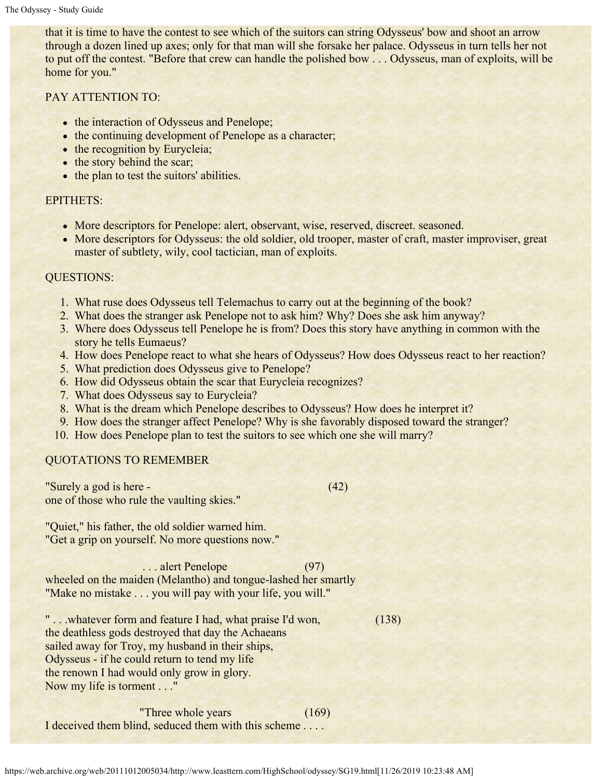that it is time to have the contest to see which of the suitors can string Odysseus' bow and shoot an arrow through a dozen lined up axes; only for that man will she forsake her palace. Odysseus in turn tells her not to put off the contest. "Before that crew can handle the polished bow . . . Odysseus, man of exploits, will be home for you."

### PAY ATTENTION TO:

- the interaction of Odysseus and Penelope;
- the continuing development of Penelope as a character;
- the recognition by Eurycleia;
- the story behind the scar;
- the plan to test the suitors' abilities.

#### EPITHETS:

- More descriptors for Penelope: alert, observant, wise, reserved, discreet. seasoned.
- More descriptors for Odysseus: the old soldier, old trooper, master of craft, master improviser, great master of subtlety, wily, cool tactician, man of exploits.

#### QUESTIONS:

- 1. What ruse does Odysseus tell Telemachus to carry out at the beginning of the book?
- 2. What does the stranger ask Penelope not to ask him? Why? Does she ask him anyway?
- 3. Where does Odysseus tell Penelope he is from? Does this story have anything in common with the story he tells Eumaeus?
- 4. How does Penelope react to what she hears of Odysseus? How does Odysseus react to her reaction?
- 5. What prediction does Odysseus give to Penelope?
- 6. How did Odysseus obtain the scar that Eurycleia recognizes?
- 7. What does Odysseus say to Eurycleia?
- 8. What is the dream which Penelope describes to Odysseus? How does he interpret it?
- 9. How does the stranger affect Penelope? Why is she favorably disposed toward the stranger?
- 10. How does Penelope plan to test the suitors to see which one she will marry?

#### QUOTATIONS TO REMEMBER

"Surely a god is here - (42) one of those who rule the vaulting skies."

"Quiet," his father, the old soldier warned him. "Get a grip on yourself. No more questions now."

... alert Penelope (97) wheeled on the maiden (Melantho) and tongue-lashed her smartly "Make no mistake . . . you will pay with your life, you will."

" . . .whatever form and feature I had, what praise I'd won, (138) the deathless gods destroyed that day the Achaeans sailed away for Troy, my husband in their ships, Odysseus - if he could return to tend my life the renown I had would only grow in glory. Now my life is torment . . ."

 "Three whole years (169) I deceived them blind, seduced them with this scheme . . . .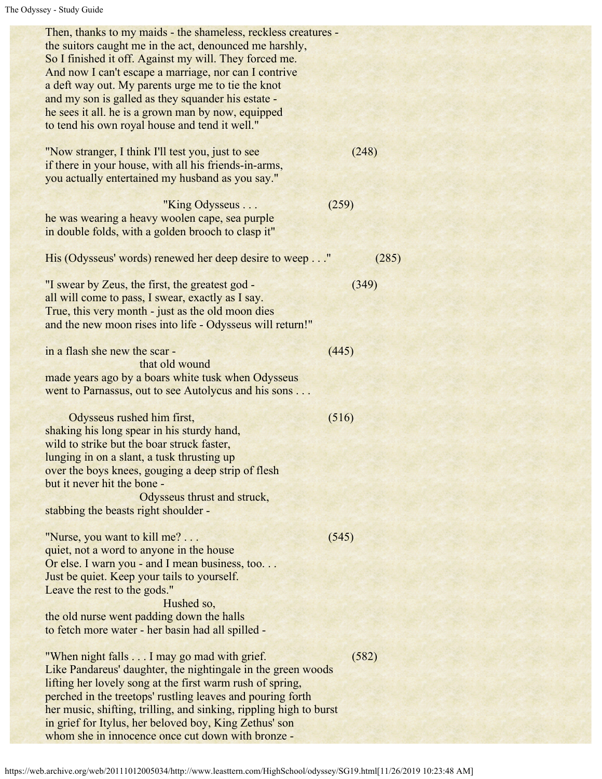| Then, thanks to my maids - the shameless, reckless creatures -<br>the suitors caught me in the act, denounced me harshly,<br>So I finished it off. Against my will. They forced me.<br>And now I can't escape a marriage, nor can I contrive<br>a deft way out. My parents urge me to tie the knot<br>and my son is galled as they squander his estate -<br>he sees it all. he is a grown man by now, equipped<br>to tend his own royal house and tend it well." |       |  |
|------------------------------------------------------------------------------------------------------------------------------------------------------------------------------------------------------------------------------------------------------------------------------------------------------------------------------------------------------------------------------------------------------------------------------------------------------------------|-------|--|
| "Now stranger, I think I'll test you, just to see<br>if there in your house, with all his friends-in-arms,<br>you actually entertained my husband as you say."                                                                                                                                                                                                                                                                                                   | (248) |  |
| "King Odysseus<br>he was wearing a heavy woolen cape, sea purple<br>in double folds, with a golden brooch to clasp it"                                                                                                                                                                                                                                                                                                                                           | (259) |  |
| His (Odysseus' words) renewed her deep desire to weep"                                                                                                                                                                                                                                                                                                                                                                                                           | (285) |  |
| "I swear by Zeus, the first, the greatest god -<br>all will come to pass, I swear, exactly as I say.<br>True, this very month - just as the old moon dies<br>and the new moon rises into life - Odysseus will return!"                                                                                                                                                                                                                                           | (349) |  |
| in a flash she new the scar -<br>that old wound<br>made years ago by a boars white tusk when Odysseus<br>went to Parnassus, out to see Autolycus and his sons                                                                                                                                                                                                                                                                                                    | (445) |  |
| Odysseus rushed him first,<br>shaking his long spear in his sturdy hand,<br>wild to strike but the boar struck faster,<br>lunging in on a slant, a tusk thrusting up<br>over the boys knees, gouging a deep strip of flesh<br>but it never hit the bone -<br>Odysseus thrust and struck,<br>stabbing the beasts right shoulder -                                                                                                                                 | (516) |  |
| "Nurse, you want to kill me?<br>quiet, not a word to anyone in the house<br>Or else. I warn you - and I mean business, too<br>Just be quiet. Keep your tails to yourself.<br>Leave the rest to the gods."<br>Hushed so,<br>the old nurse went padding down the halls<br>to fetch more water - her basin had all spilled -                                                                                                                                        | (545) |  |
| "When night falls I may go mad with grief.<br>Like Pandareus' daughter, the nightingale in the green woods<br>lifting her lovely song at the first warm rush of spring,<br>perched in the treetops' rustling leaves and pouring forth<br>her music, shifting, trilling, and sinking, rippling high to burst<br>in grief for Itylus, her beloved boy, King Zethus' son<br>whom she in innocence once cut down with bronze -                                       | (582) |  |